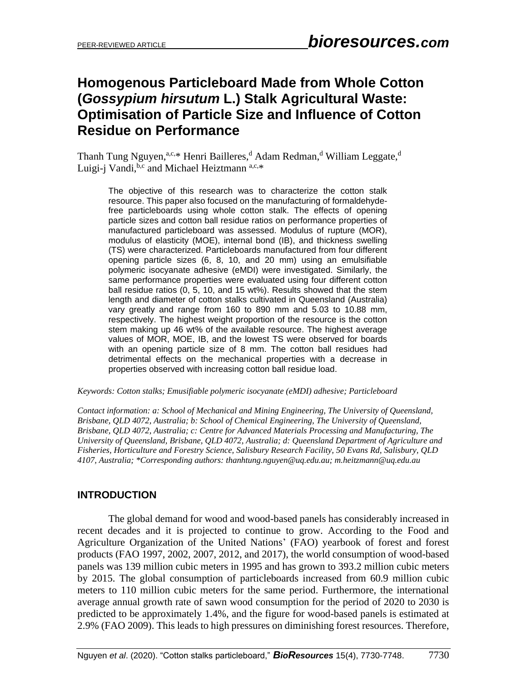# **Homogenous Particleboard Made from Whole Cotton (***Gossypium hirsutum* **L.) Stalk Agricultural Waste: Optimisation of Particle Size and Influence of Cotton Residue on Performance**

Thanh Tung Nguyen,<sup>a,c,\*</sup> Henri Bailleres,<sup>d</sup> Adam Redman,<sup>d</sup> William Leggate,<sup>d</sup> Luigi-j Vandi, b,c and Michael Heiztmann a,c,\*

The objective of this research was to characterize the cotton stalk resource. This paper also focused on the manufacturing of formaldehydefree particleboards using whole cotton stalk. The effects of opening particle sizes and cotton ball residue ratios on performance properties of manufactured particleboard was assessed. Modulus of rupture (MOR), modulus of elasticity (MOE), internal bond (IB), and thickness swelling (TS) were characterized. Particleboards manufactured from four different opening particle sizes (6, 8, 10, and 20 mm) using an emulsifiable polymeric isocyanate adhesive (eMDI) were investigated. Similarly, the same performance properties were evaluated using four different cotton ball residue ratios (0, 5, 10, and 15 wt%). Results showed that the stem length and diameter of cotton stalks cultivated in Queensland (Australia) vary greatly and range from 160 to 890 mm and 5.03 to 10.88 mm, respectively. The highest weight proportion of the resource is the cotton stem making up 46 wt% of the available resource. The highest average values of MOR, MOE, IB, and the lowest TS were observed for boards with an opening particle size of 8 mm. The cotton ball residues had detrimental effects on the mechanical properties with a decrease in properties observed with increasing cotton ball residue load.

#### *Keywords: Cotton stalks; Emusifiable polymeric isocyanate (eMDI) adhesive; Particleboard*

*Contact information: a: School of Mechanical and Mining Engineering, The University of Queensland, Brisbane, QLD 4072, Australia; b: School of Chemical Engineering, The University of Queensland, Brisbane, QLD 4072, Australia; c: Centre for Advanced Materials Processing and Manufacturing, The University of Queensland, Brisbane, QLD 4072, Australia; d: Queensland Department of Agriculture and Fisheries, Horticulture and Forestry Science, Salisbury Research Facility, 50 Evans Rd, Salisbury, QLD 4107, Australia; \*Corresponding authors[: thanhtung.nguyen@uq.edu.au;](mailto:thanhtung.nguyen@uq.edu.au) [m.heitzmann@uq.edu.au](mailto:m.heitzmann@uq.edu.au)*

# **INTRODUCTION**

The global demand for wood and wood-based panels has considerably increased in recent decades and it is projected to continue to grow. According to the Food and Agriculture Organization of the United Nations' (FAO) yearbook of forest and forest products (FAO 1997, 2002, 2007, 2012, and 2017), the world consumption of wood-based panels was 139 million cubic meters in 1995 and has grown to 393.2 million cubic meters by 2015. The global consumption of particleboards increased from 60.9 million cubic meters to 110 million cubic meters for the same period. Furthermore, the international average annual growth rate of sawn wood consumption for the period of 2020 to 2030 is predicted to be approximately 1.4%, and the figure for wood-based panels is estimated at 2.9% (FAO 2009). This leads to high pressures on diminishing forest resources. Therefore,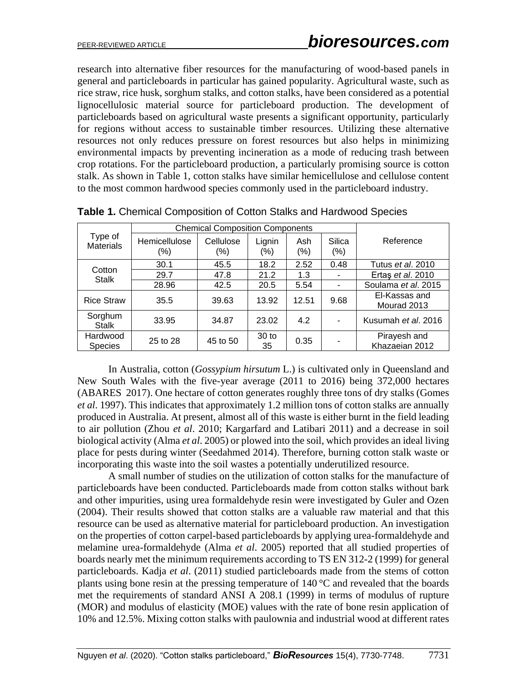research into alternative fiber resources for the manufacturing of wood-based panels in general and particleboards in particular has gained popularity. Agricultural waste, such as rice straw, rice husk, sorghum stalks, and cotton stalks, have been considered as a potential lignocellulosic material source for particleboard production. The development of particleboards based on agricultural waste presents a significant opportunity, particularly for regions without access to sustainable timber resources. Utilizing these alternative resources not only reduces pressure on forest resources but also helps in minimizing environmental impacts by preventing incineration as a mode of reducing trash between crop rotations. For the particleboard production, a particularly promising source is cotton stalk. As shown in Table 1, cotton stalks have similar hemicellulose and cellulose content to the most common hardwood species commonly used in the particleboard industry.

|                             | <b>Chemical Composition Components</b> |                  |                        |               |                   |                                |
|-----------------------------|----------------------------------------|------------------|------------------------|---------------|-------------------|--------------------------------|
| Type of<br><b>Materials</b> | Hemicellulose<br>(%)                   | Cellulose<br>(%) | Lignin<br>$(\% )$      | Ash<br>$(\%)$ | Silica<br>$(\% )$ | Reference                      |
| Cotton                      | 30.1                                   | 45.5             | 18.2                   | 2.52          | 0.48              | Tutus et al. 2010              |
| <b>Stalk</b>                | 29.7                                   | 47.8             | 21.2                   | 1.3           |                   | Ertas et al. 2010              |
|                             | 28.96                                  | 42.5             | 20.5                   | 5.54          |                   | Soulama et al. 2015            |
| <b>Rice Straw</b>           | 35.5                                   | 39.63            | 13.92                  | 12.51         | 9.68              | El-Kassas and<br>Mourad 2013   |
| Sorghum<br><b>Stalk</b>     | 33.95                                  | 34.87            | 23.02                  | 4.2           |                   | Kusumah et al. 2016            |
| Hardwood<br><b>Species</b>  | 25 to 28                               | 45 to 50         | 30 <sub>to</sub><br>35 | 0.35          |                   | Pirayesh and<br>Khazaeian 2012 |

**Table 1.** Chemical Composition of Cotton Stalks and Hardwood Species

In Australia, cotton (*Gossypium hirsutum* L.) is cultivated only in Queensland and New South Wales with the five-year average (2011 to 2016) being 372,000 hectares (ABARES 2017). One hectare of cotton generates roughly three tons of dry stalks (Gomes *et al*. 1997). This indicates that approximately 1.2 million tons of cotton stalks are annually produced in Australia. At present, almost all of this waste is either burnt in the field leading to air pollution (Zhou *et al*. 2010; Kargarfard and Latibari 2011) and a decrease in soil biological activity (Alma *et al*. 2005) or plowed into the soil, which provides an ideal living place for pests during winter (Seedahmed 2014). Therefore, burning cotton stalk waste or incorporating this waste into the soil wastes a potentially underutilized resource.

A small number of studies on the utilization of cotton stalks for the manufacture of particleboards have been conducted. Particleboards made from cotton stalks without bark and other impurities, using urea formaldehyde resin were investigated by Guler and Ozen (2004). Their results showed that cotton stalks are a valuable raw material and that this resource can be used as alternative material for particleboard production. An investigation on the properties of cotton carpel-based particleboards by applying urea-formaldehyde and melamine urea-formaldehyde (Alma *et al*. 2005) reported that all studied properties of boards nearly met the minimum requirements according to TS EN 312-2 (1999) for general particleboards. Kadja *et al*. (2011) studied particleboards made from the stems of cotton plants using bone resin at the pressing temperature of 140 °C and revealed that the boards met the requirements of standard ANSI A 208.1 (1999) in terms of modulus of rupture (MOR) and modulus of elasticity (MOE) values with the rate of bone resin application of 10% and 12.5%. Mixing cotton stalks with paulownia and industrial wood at different rates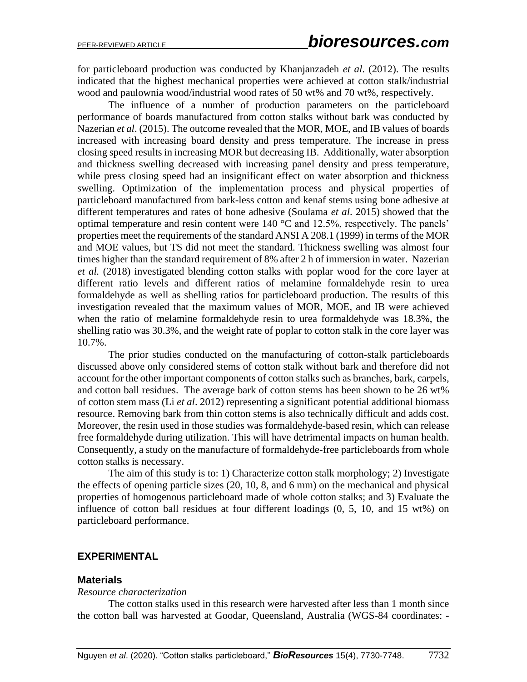for particleboard production was conducted by Khanjanzadeh *et al*. (2012). The results indicated that the highest mechanical properties were achieved at cotton stalk/industrial wood and paulownia wood/industrial wood rates of 50 wt% and 70 wt%, respectively.

The influence of a number of production parameters on the particleboard performance of boards manufactured from cotton stalks without bark was conducted by Nazerian *et al*. (2015). The outcome revealed that the MOR, MOE, and IB values of boards increased with increasing board density and press temperature. The increase in press closing speed results in increasing MOR but decreasing IB. Additionally, water absorption and thickness swelling decreased with increasing panel density and press temperature, while press closing speed had an insignificant effect on water absorption and thickness swelling. Optimization of the implementation process and physical properties of particleboard manufactured from bark-less cotton and kenaf stems using bone adhesive at different temperatures and rates of bone adhesive (Soulama *et al*. 2015) showed that the optimal temperature and resin content were 140 °C and 12.5%, respectively. The panels' properties meet the requirements of the standard ANSI A 208.1 (1999) in terms of the MOR and MOE values, but TS did not meet the standard. Thickness swelling was almost four times higher than the standard requirement of 8% after 2 h of immersion in water. Nazerian *et al.* (2018) investigated blending cotton stalks with poplar wood for the core layer at different ratio levels and different ratios of melamine formaldehyde resin to urea formaldehyde as well as shelling ratios for particleboard production. The results of this investigation revealed that the maximum values of MOR, MOE, and IB were achieved when the ratio of melamine formaldehyde resin to urea formaldehyde was 18.3%, the shelling ratio was 30.3%, and the weight rate of poplar to cotton stalk in the core layer was 10.7%.

The prior studies conducted on the manufacturing of cotton-stalk particleboards discussed above only considered stems of cotton stalk without bark and therefore did not account for the other important components of cotton stalks such as branches, bark, carpels, and cotton ball residues. The average bark of cotton stems has been shown to be 26 wt% of cotton stem mass (Li *et al*. 2012) representing a significant potential additional biomass resource. Removing bark from thin cotton stems is also technically difficult and adds cost. Moreover, the resin used in those studies was formaldehyde-based resin, which can release free formaldehyde during utilization. This will have detrimental impacts on human health. Consequently, a study on the manufacture of formaldehyde-free particleboards from whole cotton stalks is necessary.

The aim of this study is to: 1) Characterize cotton stalk morphology; 2) Investigate the effects of opening particle sizes (20, 10, 8, and 6 mm) on the mechanical and physical properties of homogenous particleboard made of whole cotton stalks; and 3) Evaluate the influence of cotton ball residues at four different loadings (0, 5, 10, and 15 wt%) on particleboard performance.

#### **EXPERIMENTAL**

#### **Materials**

#### *Resource characterization*

The cotton stalks used in this research were harvested after less than 1 month since the cotton ball was harvested at Goodar, Queensland, Australia (WGS-84 coordinates: -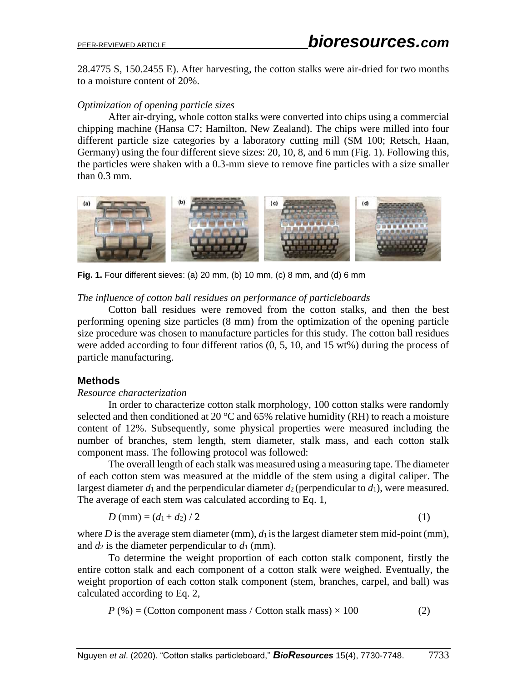28.4775 S, 150.2455 E). After harvesting, the cotton stalks were air-dried for two months to a moisture content of 20%.

### *Optimization of opening particle sizes*

After air-drying, whole cotton stalks were converted into chips using a commercial chipping machine (Hansa C7; Hamilton, New Zealand). The chips were milled into four different particle size categories by a laboratory cutting mill (SM 100; Retsch, Haan, Germany) using the four different sieve sizes: 20, 10, 8, and 6 mm (Fig. 1). Following this, the particles were shaken with a 0.3-mm sieve to remove fine particles with a size smaller than 0.3 mm.



**Fig. 1.** Four different sieves: (a) 20 mm, (b) 10 mm, (c) 8 mm, and (d) 6 mm

### *The influence of cotton ball residues on performance of particleboards*

Cotton ball residues were removed from the cotton stalks, and then the best performing opening size particles (8 mm) from the optimization of the opening particle size procedure was chosen to manufacture particles for this study. The cotton ball residues were added according to four different ratios (0, 5, 10, and 15 wt%) during the process of particle manufacturing.

### **Methods**

#### *Resource characterization*

In order to characterize cotton stalk morphology, 100 cotton stalks were randomly selected and then conditioned at 20  $\degree$ C and 65% relative humidity (RH) to reach a moisture content of 12%. Subsequently, some physical properties were measured including the number of branches, stem length, stem diameter, stalk mass, and each cotton stalk component mass. The following protocol was followed:

The overall length of each stalk was measured using a measuring tape. The diameter of each cotton stem was measured at the middle of the stem using a digital caliper. The largest diameter  $d_1$  and the perpendicular diameter  $d_2$  (perpendicular to  $d_1$ ), were measured. The average of each stem was calculated according to Eq. 1,

$$
D \text{ (mm)} = (d_1 + d_2) / 2 \tag{1}
$$

where  $D$  is the average stem diameter (mm),  $d_1$  is the largest diameter stem mid-point (mm), and  $d_2$  is the diameter perpendicular to  $d_1$  (mm).

To determine the weight proportion of each cotton stalk component, firstly the entire cotton stalk and each component of a cotton stalk were weighed. Eventually, the weight proportion of each cotton stalk component (stem, branches, carpel, and ball) was calculated according to Eq. 2,

$$
P(\%) = (Cotton component mass / Cotton stalk mass) \times 100
$$
 (2)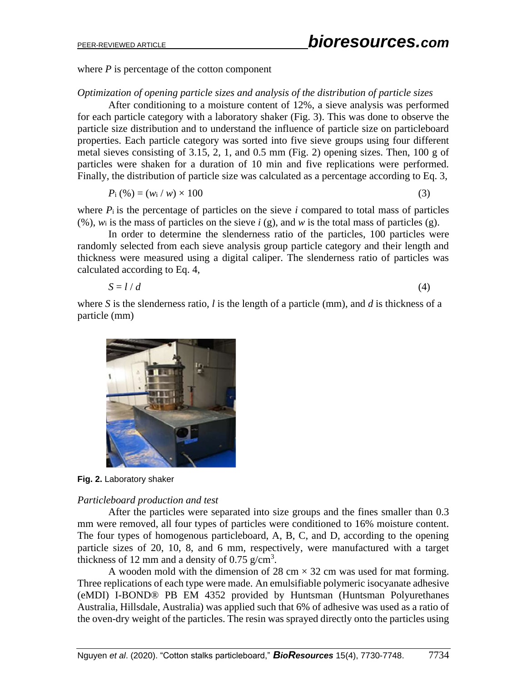where  $P$  is percentage of the cotton component

#### *Optimization of opening particle sizes and analysis of the distribution of particle sizes*

After conditioning to a moisture content of 12%, a sieve analysis was performed for each particle category with a laboratory shaker (Fig. 3). This was done to observe the particle size distribution and to understand the influence of particle size on particleboard properties. Each particle category was sorted into five sieve groups using four different metal sieves consisting of 3.15, 2, 1, and 0.5 mm (Fig. 2) opening sizes. Then, 100 g of particles were shaken for a duration of 10 min and five replications were performed. Finally, the distribution of particle size was calculated as a percentage according to Eq. 3,

$$
P_{i}(\%)=(w_{i}/w)\times 100 \tag{3}
$$

where  $P_i$  is the percentage of particles on the sieve *i* compared to total mass of particles (%), *w*<sup>i</sup> is the mass of particles on the sieve *i* (g), and *w* is the total mass of particles (g).

In order to determine the slenderness ratio of the particles, 100 particles were randomly selected from each sieve analysis group particle category and their length and thickness were measured using a digital caliper. The slenderness ratio of particles was calculated according to Eq. 4,

$$
S = l/d \tag{4}
$$

where *S* is the slenderness ratio, *l* is the length of a particle (mm), and *d* is thickness of a particle (mm)



**Fig. 2.** Laboratory shaker

#### *Particleboard production and test*

After the particles were separated into size groups and the fines smaller than 0.3 mm were removed, all four types of particles were conditioned to 16% moisture content. The four types of homogenous particleboard, A, B, C, and D, according to the opening particle sizes of 20, 10, 8, and 6 mm, respectively, were manufactured with a target thickness of 12 mm and a density of 0.75  $g/cm<sup>3</sup>$ .

A wooden mold with the dimension of 28 cm  $\times$  32 cm was used for mat forming. Three replications of each type were made. An emulsifiable polymeric isocyanate adhesive (eMDI) I-BOND® PB EM 4352 provided by Huntsman (Huntsman Polyurethanes Australia, Hillsdale, Australia) was applied such that 6% of adhesive was used as a ratio of the oven-dry weight of the particles. The resin was sprayed directly onto the particles using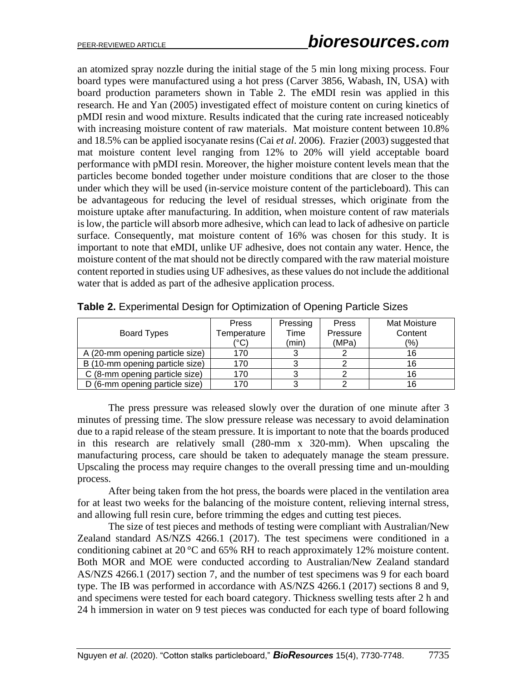an atomized spray nozzle during the initial stage of the 5 min long mixing process. Four board types were manufactured using a hot press (Carver 3856, Wabash, IN, USA) with board production parameters shown in Table 2. The eMDI resin was applied in this research. He and Yan (2005) investigated effect of moisture content on curing kinetics of pMDI resin and wood mixture. Results indicated that the curing rate increased noticeably with increasing moisture content of raw materials. Mat moisture content between 10.8% and 18.5% can be applied isocyanate resins (Cai *et al*. 2006). Frazier (2003) suggested that mat moisture content level ranging from 12% to 20% will yield acceptable board performance with pMDI resin. Moreover, the higher moisture content levels mean that the particles become bonded together under moisture conditions that are closer to the those under which they will be used (in-service moisture content of the particleboard). This can be advantageous for reducing the level of residual stresses, which originate from the moisture uptake after manufacturing. In addition, when moisture content of raw materials islow, the particle will absorb more adhesive, which can lead to lack of adhesive on particle surface. Consequently, mat moisture content of 16% was chosen for this study. It is important to note that eMDI, unlike UF adhesive, does not contain any water. Hence, the moisture content of the mat should not be directly compared with the raw material moisture content reported in studies using UF adhesives, as these values do not include the additional water that is added as part of the adhesive application process.

| <b>Board Types</b>              | <b>Press</b><br>Temperature | Pressing<br>Time | <b>Press</b><br>Pressure | Mat Moisture<br>Content |
|---------------------------------|-----------------------------|------------------|--------------------------|-------------------------|
| A (20-mm opening particle size) | ′°C)<br>170                 | (min)            | (MPa)                    | $(\% )$<br>16           |
| B (10-mm opening particle size) | 170                         |                  |                          | 16                      |
| C (8-mm opening particle size)  | 170                         |                  |                          | 16                      |
| D (6-mm opening particle size)  | 170                         |                  |                          | 16                      |

**Table 2.** Experimental Design for Optimization of Opening Particle Sizes

The press pressure was released slowly over the duration of one minute after 3 minutes of pressing time. The slow pressure release was necessary to avoid delamination due to a rapid release of the steam pressure. It is important to note that the boards produced in this research are relatively small (280-mm x 320-mm). When upscaling the manufacturing process, care should be taken to adequately manage the steam pressure. Upscaling the process may require changes to the overall pressing time and un-moulding process.

After being taken from the hot press, the boards were placed in the ventilation area for at least two weeks for the balancing of the moisture content, relieving internal stress, and allowing full resin cure, before trimming the edges and cutting test pieces.

The size of test pieces and methods of testing were compliant with Australian/New Zealand standard AS/NZS 4266.1 (2017). The test specimens were conditioned in a conditioning cabinet at 20 °C and 65% RH to reach approximately 12% moisture content. Both MOR and MOE were conducted according to Australian/New Zealand standard AS/NZS 4266.1 (2017) section 7, and the number of test specimens was 9 for each board type. The IB was performed in accordance with AS/NZS 4266.1 (2017) sections 8 and 9, and specimens were tested for each board category. Thickness swelling tests after 2 h and 24 h immersion in water on 9 test pieces was conducted for each type of board following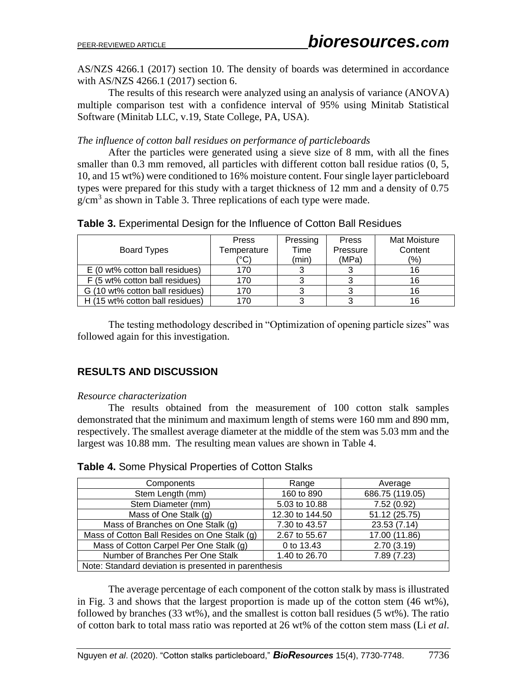AS/NZS 4266.1 (2017) section 10. The density of boards was determined in accordance with AS/NZS 4266.1 (2017) section 6.

The results of this research were analyzed using an analysis of variance (ANOVA) multiple comparison test with a confidence interval of 95% using Minitab Statistical Software (Minitab LLC, v.19, State College, PA, USA).

### *The influence of cotton ball residues on performance of particleboards*

After the particles were generated using a sieve size of 8 mm, with all the fines smaller than 0.3 mm removed, all particles with different cotton ball residue ratios (0, 5, 10, and 15 wt%) were conditioned to 16% moisture content. Four single layer particleboard types were prepared for this study with a target thickness of 12 mm and a density of 0.75  $g/cm<sup>3</sup>$  as shown in Table 3. Three replications of each type were made.

|  | Table 3. Experimental Design for the Influence of Cotton Ball Residues |
|--|------------------------------------------------------------------------|
|  |                                                                        |

| Board Types                     | <b>Press</b><br>Temperature<br>(°C | Pressing<br>Time<br>(min) | Press<br>Pressure<br>(MPa) | Mat Moisture<br>Content<br>(%) |
|---------------------------------|------------------------------------|---------------------------|----------------------------|--------------------------------|
| E (0 wt% cotton ball residues)  | 170                                |                           |                            | 16                             |
| F (5 wt% cotton ball residues)  | 170                                |                           |                            | 16                             |
| G (10 wt% cotton ball residues) | 170                                |                           |                            | 16                             |
| H (15 wt% cotton ball residues) | 170                                |                           |                            |                                |

The testing methodology described in "Optimization of opening particle sizes" was followed again for this investigation.

# **RESULTS AND DISCUSSION**

#### *Resource characterization*

The results obtained from the measurement of 100 cotton stalk samples demonstrated that the minimum and maximum length of stems were 160 mm and 890 mm, respectively. The smallest average diameter at the middle of the stem was 5.03 mm and the largest was 10.88 mm. The resulting mean values are shown in Table 4.

| Components                                           | Range           | Average         |
|------------------------------------------------------|-----------------|-----------------|
| Stem Length (mm)                                     | 160 to 890      | 686.75 (119.05) |
| Stem Diameter (mm)                                   | 5.03 to 10.88   | 7.52(0.92)      |
| Mass of One Stalk (g)                                | 12.30 to 144.50 | 51.12 (25.75)   |
| Mass of Branches on One Stalk (g)                    | 7.30 to 43.57   | 23.53 (7.14)    |
| Mass of Cotton Ball Resides on One Stalk (g)         | 2.67 to 55.67   | 17.00 (11.86)   |
| Mass of Cotton Carpel Per One Stalk (g)              | 0 to 13.43      | 2.70(3.19)      |
| Number of Branches Per One Stalk                     | 1.40 to 26.70   | 7.89 (7.23)     |
| Note: Standard deviation is presented in parenthesis |                 |                 |

### **Table 4.** Some Physical Properties of Cotton Stalks

The average percentage of each component of the cotton stalk by mass is illustrated in Fig. 3 and shows that the largest proportion is made up of the cotton stem (46 wt%), followed by branches (33 wt%), and the smallest is cotton ball residues (5 wt%). The ratio of cotton bark to total mass ratio was reported at 26 wt% of the cotton stem mass (Li *et al*.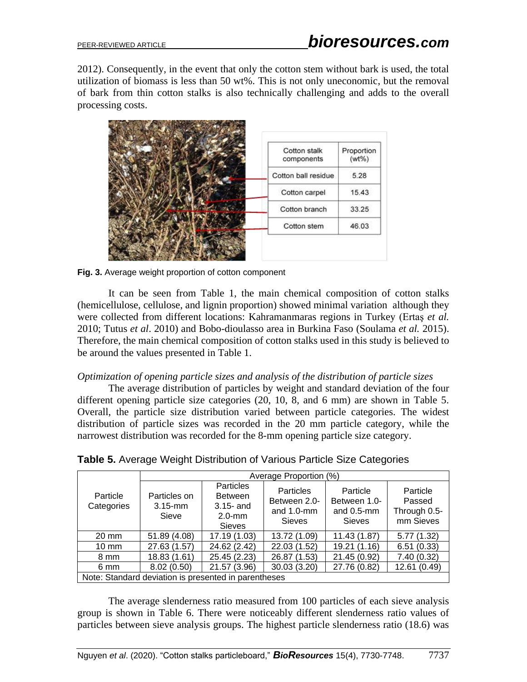2012). Consequently, in the event that only the cotton stem without bark is used, the total utilization of biomass is less than 50 wt%. This is not only uneconomic, but the removal of bark from thin cotton stalks is also technically challenging and adds to the overall processing costs.



**Fig. 3.** Average weight proportion of cotton component

It can be seen from Table 1, the main chemical composition of cotton stalks (hemicellulose, cellulose, and lignin proportion) showed minimal variation although they were collected from different locations: Kahramanmaras regions in Turkey (Ertaş *et al.* 2010; Tutus *et al*. 2010) and Bobo-dioulasso area in Burkina Faso (Soulama *et al.* 2015). Therefore, the main chemical composition of cotton stalks used in this study is believed to be around the values presented in Table 1.

### *Optimization of opening particle sizes and analysis of the distribution of particle sizes*

The average distribution of particles by weight and standard deviation of the four different opening particle size categories (20, 10, 8, and 6 mm) are shown in Table 5. Overall, the particle size distribution varied between particle categories. The widest distribution of particle sizes was recorded in the 20 mm particle category, while the narrowest distribution was recorded for the 8-mm opening particle size category.

|                        | Average Proportion (%)                               |                                                                                  |                                                                    |                                                            |                                                 |  |  |  |
|------------------------|------------------------------------------------------|----------------------------------------------------------------------------------|--------------------------------------------------------------------|------------------------------------------------------------|-------------------------------------------------|--|--|--|
| Particle<br>Categories | Particles on<br>$3.15$ -mm<br>Sieve                  | <b>Particles</b><br><b>Between</b><br>$3.15$ - and<br>$2.0$ -mm<br><b>Sieves</b> | <b>Particles</b><br>Between 2.0-<br>and $1.0$ -mm<br><b>Sieves</b> | Particle<br>Between 1.0-<br>and $0.5$ -mm<br><b>Sieves</b> | Particle<br>Passed<br>Through 0.5-<br>mm Sieves |  |  |  |
| $20 \text{ mm}$        | 51.89 (4.08)                                         | 17.19 (1.03)                                                                     | 13.72 (1.09)                                                       | 11.43 (1.87)                                               | 5.77(1.32)                                      |  |  |  |
| $10 \text{ mm}$        | 27.63 (1.57)                                         | 24.62 (2.42)                                                                     | 22.03 (1.52)                                                       | 19.21 (1.16)                                               | 6.51(0.33)                                      |  |  |  |
| 8 mm                   | 18.83 (1.61)                                         | 25.45 (2.23)                                                                     | 26.87 (1.53)                                                       | 21.45 (0.92)                                               | 7.40 (0.32)                                     |  |  |  |
| 6 mm                   | 8.02(0.50)                                           | 21.57 (3.96)                                                                     | 30.03 (3.20)                                                       | 27.76 (0.82)                                               | 12.61 (0.49)                                    |  |  |  |
|                        | Note: Standard deviation is presented in parentheses |                                                                                  |                                                                    |                                                            |                                                 |  |  |  |

**Table 5.** Average Weight Distribution of Various Particle Size Categories

The average slenderness ratio measured from 100 particles of each sieve analysis group is shown in Table 6. There were noticeably different slenderness ratio values of particles between sieve analysis groups. The highest particle slenderness ratio (18.6) was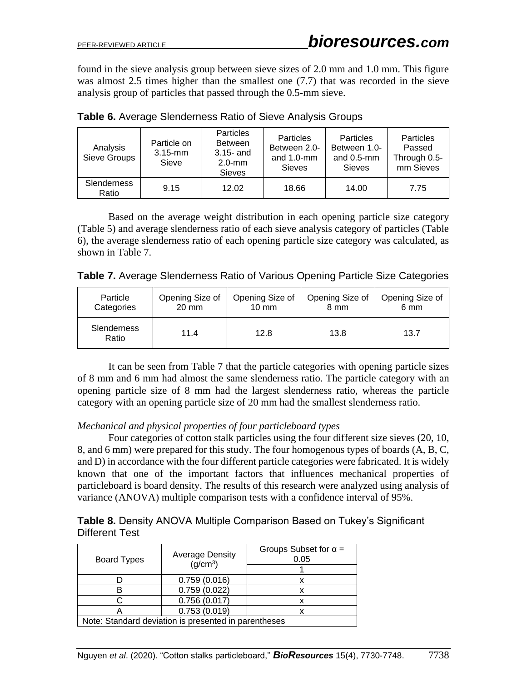found in the sieve analysis group between sieve sizes of 2.0 mm and 1.0 mm. This figure was almost 2.5 times higher than the smallest one (7.7) that was recorded in the sieve analysis group of particles that passed through the 0.5-mm sieve.

| Analysis<br>Sieve Groups    | Particle on<br>$3.15$ -mm<br>Sieve | <b>Particles</b><br><b>Between</b><br>$3.15 -$ and<br>$2.0$ -mm<br><b>Sieves</b> | <b>Particles</b><br>Between 2.0-<br>and $1.0$ -mm<br><b>Sieves</b> | <b>Particles</b><br>Between 1.0-<br>and $0.5$ -mm<br><b>Sieves</b> | Particles<br>Passed<br>Through 0.5-<br>mm Sieves |
|-----------------------------|------------------------------------|----------------------------------------------------------------------------------|--------------------------------------------------------------------|--------------------------------------------------------------------|--------------------------------------------------|
| <b>Slenderness</b><br>Ratio | 9.15                               | 12.02                                                                            | 18.66                                                              | 14.00                                                              | 7.75                                             |

**Table 6.** Average Slenderness Ratio of Sieve Analysis Groups

Based on the average weight distribution in each opening particle size category (Table 5) and average slenderness ratio of each sieve analysis category of particles (Table 6), the average slenderness ratio of each opening particle size category was calculated, as shown in Table 7.

| Table 7. Average Slenderness Ratio of Various Opening Particle Size Categories |  |
|--------------------------------------------------------------------------------|--|
|--------------------------------------------------------------------------------|--|

| Particle                    | Opening Size of | Opening Size of | Opening Size of | Opening Size of |
|-----------------------------|-----------------|-----------------|-----------------|-----------------|
| Categories                  | $20 \text{ mm}$ | $10 \text{ mm}$ | 8 mm            | 6 mm            |
| <b>Slenderness</b><br>Ratio | 11.4            | 12.8            | 13.8            | 13.7            |

It can be seen from Table 7 that the particle categories with opening particle sizes of 8 mm and 6 mm had almost the same slenderness ratio. The particle category with an opening particle size of 8 mm had the largest slenderness ratio, whereas the particle category with an opening particle size of 20 mm had the smallest slenderness ratio.

### *Mechanical and physical properties of four particleboard types*

Four categories of cotton stalk particles using the four different size sieves (20, 10, 8, and 6 mm) were prepared for this study. The four homogenous types of boards (A, B, C, and D) in accordance with the four different particle categories were fabricated. It is widely known that one of the important factors that influences mechanical properties of particleboard is board density. The results of this research were analyzed using analysis of variance (ANOVA) multiple comparison tests with a confidence interval of 95%.

| Table 8. Density ANOVA Multiple Comparison Based on Tukey's Significant |  |  |
|-------------------------------------------------------------------------|--|--|
| Different Test                                                          |  |  |

| <b>Board Types</b>                                   | <b>Average Density</b><br>(q/cm <sup>3</sup> ) | Groups Subset for $\alpha$ =<br>0.05 |  |  |  |
|------------------------------------------------------|------------------------------------------------|--------------------------------------|--|--|--|
|                                                      |                                                |                                      |  |  |  |
|                                                      | 0.759(0.016)                                   |                                      |  |  |  |
|                                                      | 0.759(0.022)                                   |                                      |  |  |  |
|                                                      | 0.756(0.017)                                   |                                      |  |  |  |
|                                                      | 0.753(0.019)                                   | x                                    |  |  |  |
| Note: Standard deviation is presented in parentheses |                                                |                                      |  |  |  |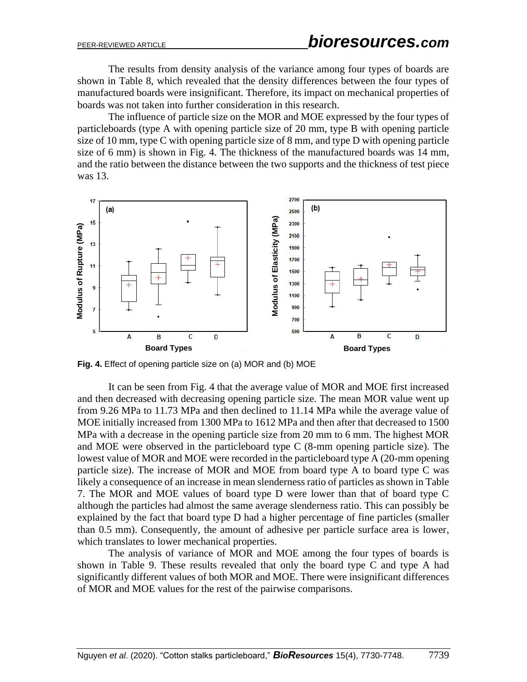The results from density analysis of the variance among four types of boards are shown in Table 8, which revealed that the density differences between the four types of manufactured boards were insignificant. Therefore, its impact on mechanical properties of boards was not taken into further consideration in this research.

The influence of particle size on the MOR and MOE expressed by the four types of particleboards (type A with opening particle size of 20 mm, type B with opening particle size of 10 mm, type C with opening particle size of 8 mm, and type D with opening particle size of 6 mm) is shown in Fig. 4. The thickness of the manufactured boards was 14 mm, and the ratio between the distance between the two supports and the thickness of test piece was 13.



**Fig. 4.** Effect of opening particle size on (a) MOR and (b) MOE

It can be seen from Fig. 4 that the average value of MOR and MOE first increased and then decreased with decreasing opening particle size. The mean MOR value went up from 9.26 MPa to 11.73 MPa and then declined to 11.14 MPa while the average value of MOE initially increased from 1300 MPa to 1612 MPa and then after that decreased to 1500 MPa with a decrease in the opening particle size from 20 mm to 6 mm. The highest MOR and MOE were observed in the particleboard type C (8-mm opening particle size). The lowest value of MOR and MOE were recorded in the particleboard type A (20-mm opening particle size). The increase of MOR and MOE from board type A to board type C was likely a consequence of an increase in mean slenderness ratio of particles as shown in Table 7. The MOR and MOE values of board type D were lower than that of board type C although the particles had almost the same average slenderness ratio. This can possibly be explained by the fact that board type D had a higher percentage of fine particles (smaller than 0.5 mm). Consequently, the amount of adhesive per particle surface area is lower, which translates to lower mechanical properties.

The analysis of variance of MOR and MOE among the four types of boards is shown in Table 9. These results revealed that only the board type C and type A had significantly different values of both MOR and MOE. There were insignificant differences of MOR and MOE values for the rest of the pairwise comparisons.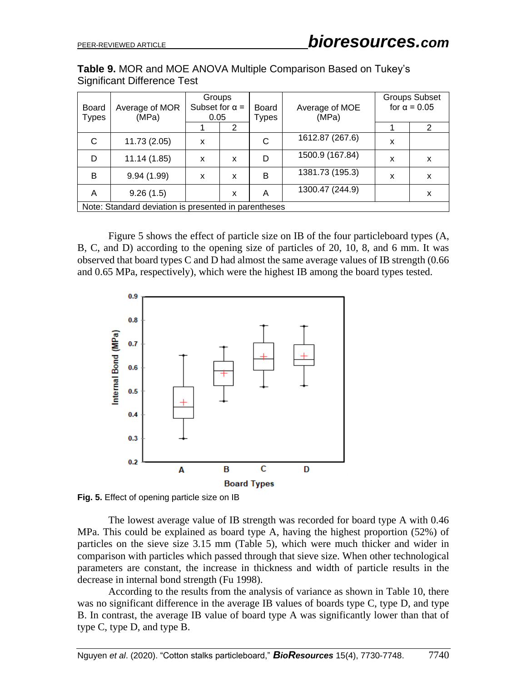**Table 9.** MOR and MOE ANOVA Multiple Comparison Based on Tukey's Significant Difference Test

| <b>Board</b><br><b>Types</b> | Average of MOR<br>(MPa)                              | Groups<br>Subset for $\alpha$ =<br>0.05 |   | <b>Board</b><br><b>Types</b> | Average of MOE<br>(MPa) |   | <b>Groups Subset</b><br>for $\alpha = 0.05$ |
|------------------------------|------------------------------------------------------|-----------------------------------------|---|------------------------------|-------------------------|---|---------------------------------------------|
|                              |                                                      |                                         | 2 |                              |                         |   | $\mathcal{P}$                               |
| C                            | 11.73 (2.05)                                         | X                                       |   | С                            | 1612.87 (267.6)         | X |                                             |
| D                            | 11.14(1.85)                                          | X                                       | X | D                            | 1500.9 (167.84)         | X | x                                           |
| B                            | 9.94(1.99)                                           | X                                       | X | B                            | 1381.73 (195.3)         | X | x                                           |
| Α                            | 9.26(1.5)                                            |                                         | X | A                            | 1300.47 (244.9)         |   | x                                           |
|                              | Note: Standard deviation is presented in parentheses |                                         |   |                              |                         |   |                                             |

Figure 5 shows the effect of particle size on IB of the four particleboard types (A, B, C, and D) according to the opening size of particles of 20, 10, 8, and 6 mm. It was observed that board types C and D had almost the same average values of IB strength (0.66 and 0.65 MPa, respectively), which were the highest IB among the board types tested.



**Fig. 5.** Effect of opening particle size on IB

The lowest average value of IB strength was recorded for board type A with 0.46 MPa. This could be explained as board type A, having the highest proportion (52%) of particles on the sieve size 3.15 mm (Table 5), which were much thicker and wider in comparison with particles which passed through that sieve size. When other technological parameters are constant, the increase in thickness and width of particle results in the decrease in internal bond strength (Fu 1998).

According to the results from the analysis of variance as shown in Table 10, there was no significant difference in the average IB values of boards type C, type D, and type B. In contrast, the average IB value of board type A was significantly lower than that of type C, type D, and type B.

Nguyen *et al*. (2020). "Cotton stalks particleboard," *BioResources* 15(4), 7730-7748. 7740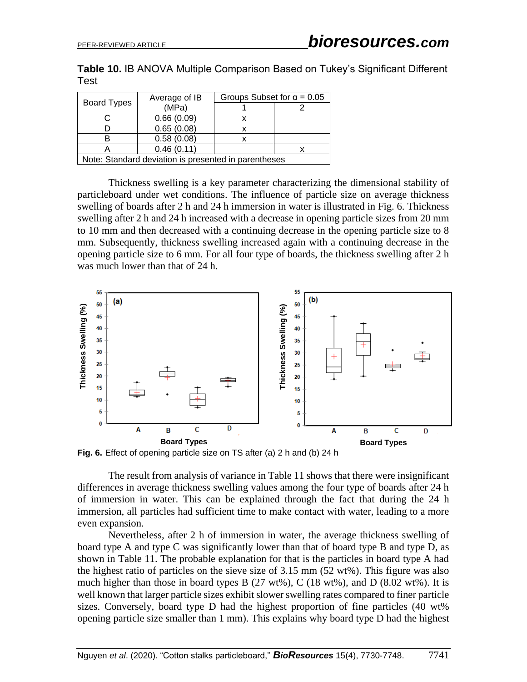**Table 10.** IB ANOVA Multiple Comparison Based on Tukey's Significant Different Test

| <b>Board Types</b>                                   | Average of IB | Groups Subset for $\alpha$ = 0.05 |  |  |  |
|------------------------------------------------------|---------------|-----------------------------------|--|--|--|
|                                                      | (MPa)         |                                   |  |  |  |
|                                                      | 0.66(0.09)    |                                   |  |  |  |
|                                                      | 0.65(0.08)    |                                   |  |  |  |
|                                                      | 0.58(0.08)    |                                   |  |  |  |
|                                                      | 0.46(0.11)    |                                   |  |  |  |
| Note: Standard deviation is presented in parentheses |               |                                   |  |  |  |

Thickness swelling is a key parameter characterizing the dimensional stability of particleboard under wet conditions. The influence of particle size on average thickness swelling of boards after 2 h and 24 h immersion in water is illustrated in Fig. 6. Thickness swelling after 2 h and 24 h increased with a decrease in opening particle sizes from 20 mm to 10 mm and then decreased with a continuing decrease in the opening particle size to 8 mm. Subsequently, thickness swelling increased again with a continuing decrease in the opening particle size to 6 mm. For all four type of boards, the thickness swelling after 2 h was much lower than that of 24 h.



**Fig. 6.** Effect of opening particle size on TS after (a) 2 h and (b) 24 h

The result from analysis of variance in Table 11 shows that there were insignificant differences in average thickness swelling values among the four type of boards after 24 h of immersion in water. This can be explained through the fact that during the 24 h immersion, all particles had sufficient time to make contact with water, leading to a more even expansion.

Nevertheless, after 2 h of immersion in water, the average thickness swelling of board type A and type C was significantly lower than that of board type B and type D, as shown in Table 11. The probable explanation for that is the particles in board type A had the highest ratio of particles on the sieve size of 3.15 mm  $(52 \text{ wt\%})$ . This figure was also much higher than those in board types B  $(27 \text{ wt\%})$ , C  $(18 \text{ wt\%})$ , and D  $(8.02 \text{ wt\%})$ . It is well known that larger particle sizes exhibit slower swelling rates compared to finer particle sizes. Conversely, board type D had the highest proportion of fine particles (40 wt% opening particle size smaller than 1 mm). This explains why board type D had the highest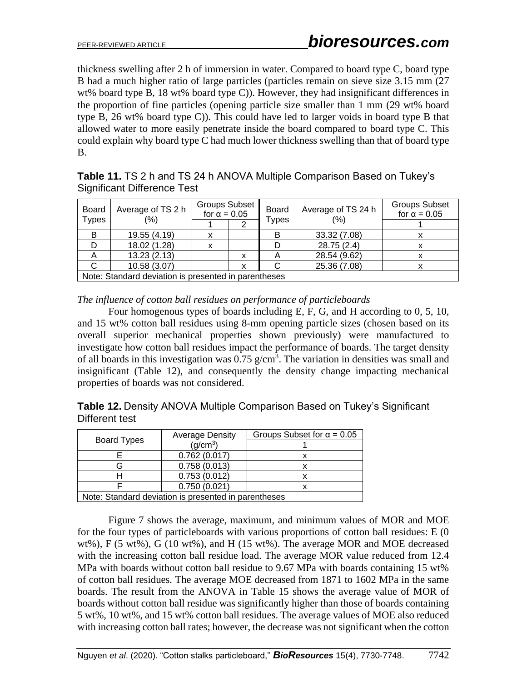thickness swelling after 2 h of immersion in water. Compared to board type C, board type B had a much higher ratio of large particles (particles remain on sieve size 3.15 mm (27 wt% board type B, 18 wt% board type C)). However, they had insignificant differences in the proportion of fine particles (opening particle size smaller than 1 mm (29 wt% board type B, 26 wt% board type C)). This could have led to larger voids in board type B that allowed water to more easily penetrate inside the board compared to board type C. This could explain why board type C had much lower thickness swelling than that of board type B.

**Table 11.** TS 2 h and TS 24 h ANOVA Multiple Comparison Based on Tukey's Significant Difference Test

| Average of TS 2 h<br><b>Board</b><br><b>Types</b><br>$(\% )$ |              | <b>Groups Subset</b><br>for $\alpha = 0.05$ |   | <b>Board</b><br><b>Types</b> | Average of TS 24 h<br>(% ) | <b>Groups Subset</b><br>for $\alpha = 0.05$ |  |  |
|--------------------------------------------------------------|--------------|---------------------------------------------|---|------------------------------|----------------------------|---------------------------------------------|--|--|
|                                                              |              |                                             |   |                              |                            |                                             |  |  |
| в                                                            | 19.55 (4.19) | x                                           |   |                              | 33.32 (7.08)               |                                             |  |  |
|                                                              | 18.02 (1.28) | x                                           |   |                              | 28.75 (2.4)                |                                             |  |  |
| A                                                            | 13.23(2.13)  |                                             | х |                              | 28.54 (9.62)               |                                             |  |  |
|                                                              | 10.58(3.07)  |                                             | х |                              | 25.36 (7.08)               |                                             |  |  |
| Note: Standard deviation is presented in parentheses         |              |                                             |   |                              |                            |                                             |  |  |

*The influence of cotton ball residues on performance of particleboards*

Four homogenous types of boards including E, F, G, and H according to 0, 5, 10, and 15 wt% cotton ball residues using 8-mm opening particle sizes (chosen based on its overall superior mechanical properties shown previously) were manufactured to investigate how cotton ball residues impact the performance of boards. The target density of all boards in this investigation was  $0.75$  g/cm<sup>3</sup>. The variation in densities was small and insignificant (Table 12), and consequently the density change impacting mechanical properties of boards was not considered.

**Table 12.** Density ANOVA Multiple Comparison Based on Tukey's Significant Different test

|                                                      | <b>Average Density</b> | Groups Subset for $\alpha$ = 0.05 |  |  |  |  |
|------------------------------------------------------|------------------------|-----------------------------------|--|--|--|--|
| <b>Board Types</b>                                   | (q/cm <sup>3</sup> )   |                                   |  |  |  |  |
|                                                      | 0.762(0.017)           |                                   |  |  |  |  |
|                                                      | 0.758(0.013)           |                                   |  |  |  |  |
|                                                      | 0.753(0.012)           |                                   |  |  |  |  |
|                                                      | 0.750(0.021)           |                                   |  |  |  |  |
| Note: Standard deviation is presented in parentheses |                        |                                   |  |  |  |  |

Figure 7 shows the average, maximum, and minimum values of MOR and MOE for the four types of particleboards with various proportions of cotton ball residues: E (0 wt%), F (5 wt%), G (10 wt%), and H (15 wt%). The average MOR and MOE decreased with the increasing cotton ball residue load. The average MOR value reduced from 12.4 MPa with boards without cotton ball residue to 9.67 MPa with boards containing 15 wt% of cotton ball residues. The average MOE decreased from 1871 to 1602 MPa in the same boards. The result from the ANOVA in Table 15 shows the average value of MOR of boards without cotton ball residue was significantly higher than those of boards containing 5 wt%, 10 wt%, and 15 wt% cotton ball residues. The average values of MOE also reduced with increasing cotton ball rates; however, the decrease was not significant when the cotton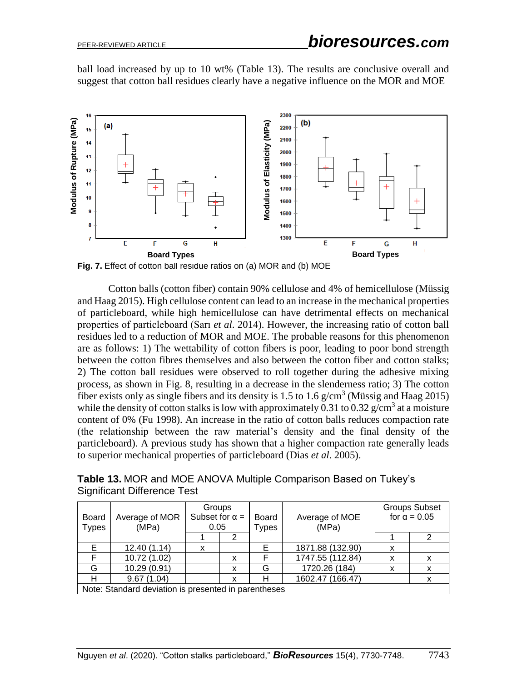ball load increased by up to 10 wt% (Table 13). The results are conclusive overall and suggest that cotton ball residues clearly have a negative influence on the MOR and MOE



**Fig. 7.** Effect of cotton ball residue ratios on (a) MOR and (b) MOE

Cotton balls (cotton fiber) contain 90% cellulose and 4% of hemicellulose (Müssig and Haag 2015). High cellulose content can lead to an increase in the mechanical properties of particleboard, while high hemicellulose can have detrimental effects on mechanical properties of particleboard (Sarı *et al*. 2014). However, the increasing ratio of cotton ball residues led to a reduction of MOR and MOE. The probable reasons for this phenomenon are as follows: 1) The wettability of cotton fibers is poor, leading to poor bond strength between the cotton fibres themselves and also between the cotton fiber and cotton stalks; 2) The cotton ball residues were observed to roll together during the adhesive mixing process, as shown in Fig. 8, resulting in a decrease in the slenderness ratio; 3) The cotton fiber exists only as single fibers and its density is 1.5 to 1.6  $g/cm<sup>3</sup>$  (Müssig and Haag 2015) while the density of cotton stalks is low with approximately 0.31 to 0.32  $g/cm<sup>3</sup>$  at a moisture content of 0% (Fu 1998). An increase in the ratio of cotton balls reduces compaction rate (the relationship between the raw material's density and the final density of the particleboard). A previous study has shown that a higher compaction rate generally leads to superior mechanical properties of particleboard (Dias *et al*. 2005).

**Table 13.** MOR and MOE ANOVA Multiple Comparison Based on Tukey's Significant Difference Test

| Board<br><b>Types</b>                                | Average of MOR<br>(MPa) | Groups<br>Subset for $\alpha$ =<br>0.05 |   | <b>Board</b><br><b>Types</b> | Average of MOE<br>(MPa) |   | <b>Groups Subset</b><br>for $\alpha = 0.05$ |  |
|------------------------------------------------------|-------------------------|-----------------------------------------|---|------------------------------|-------------------------|---|---------------------------------------------|--|
|                                                      |                         |                                         |   |                              |                         |   |                                             |  |
|                                                      | 12.40(1.14)             | x                                       |   |                              | 1871.88 (132.90)        | x |                                             |  |
|                                                      | 10.72 (1.02)            |                                         | x |                              | 1747.55 (112.84)        | x |                                             |  |
| G                                                    | 10.29 (0.91)            |                                         | x | G                            | 1720.26 (184)           | x |                                             |  |
|                                                      | 9.67(1.04)              |                                         | x |                              | 1602.47 (166.47)        |   |                                             |  |
| Note: Standard deviation is presented in parentheses |                         |                                         |   |                              |                         |   |                                             |  |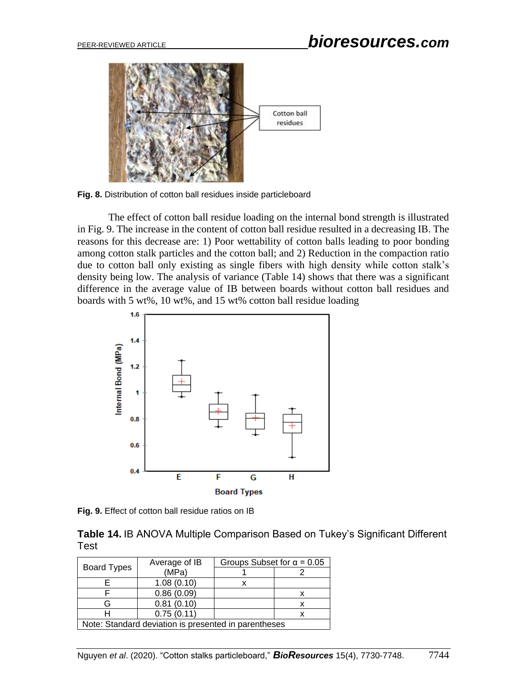

**Fig. 8.** Distribution of cotton ball residues inside particleboard

The effect of cotton ball residue loading on the internal bond strength is illustrated in Fig. 9. The increase in the content of cotton ball residue resulted in a decreasing IB. The reasons for this decrease are: 1) Poor wettability of cotton balls leading to poor bonding among cotton stalk particles and the cotton ball; and 2) Reduction in the compaction ratio due to cotton ball only existing as single fibers with high density while cotton stalk's density being low. The analysis of variance (Table 14) shows that there was a significant difference in the average value of IB between boards without cotton ball residues and boards with 5 wt%, 10 wt%, and 15 wt% cotton ball residue loading



**Fig. 9.** Effect of cotton ball residue ratios on IB

|             |  |  |  | Table 14. IB ANOVA Multiple Comparison Based on Tukey's Significant Different |  |
|-------------|--|--|--|-------------------------------------------------------------------------------|--|
| <b>Test</b> |  |  |  |                                                                               |  |

|                                                      | Average of IB | Groups Subset for $\alpha$ = 0.05 |  |  |  |
|------------------------------------------------------|---------------|-----------------------------------|--|--|--|
| <b>Board Types</b>                                   | (MPa)         |                                   |  |  |  |
| 1.08(0.10)                                           |               |                                   |  |  |  |
| 0.86(0.09)                                           |               |                                   |  |  |  |
|                                                      | 0.81(0.10)    |                                   |  |  |  |
|                                                      | 0.75(0.11)    |                                   |  |  |  |
| Note: Standard deviation is presented in parentheses |               |                                   |  |  |  |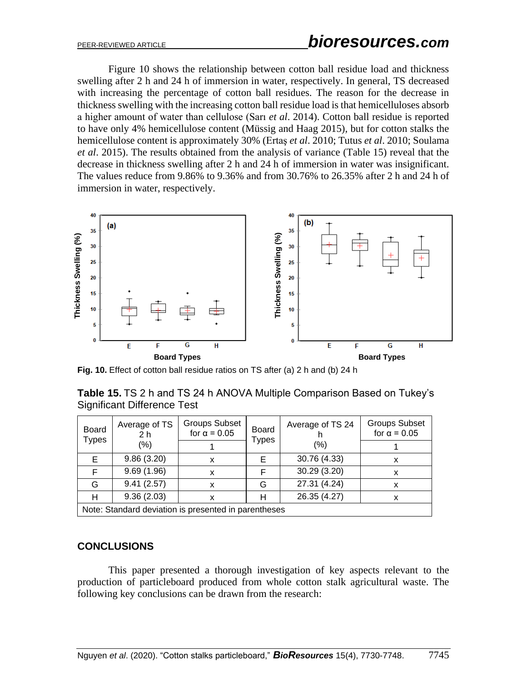Figure 10 shows the relationship between cotton ball residue load and thickness swelling after 2 h and 24 h of immersion in water, respectively. In general, TS decreased with increasing the percentage of cotton ball residues. The reason for the decrease in thickness swelling with the increasing cotton ball residue load is that hemicelluloses absorb a higher amount of water than cellulose (Sarı *et al*. 2014). Cotton ball residue is reported to have only 4% hemicellulose content (Müssig and Haag 2015), but for cotton stalks the hemicellulose content is approximately 30% (Ertaş *et al*. 2010; Tutus *et al*. 2010; Soulama *et al*. 2015). The results obtained from the analysis of variance (Table 15) reveal that the decrease in thickness swelling after 2 h and 24 h of immersion in water was insignificant. The values reduce from 9.86% to 9.36% and from 30.76% to 26.35% after 2 h and 24 h of immersion in water, respectively.



**Fig. 10.** Effect of cotton ball residue ratios on TS after (a) 2 h and (b) 24 h

**Table 15.** TS 2 h and TS 24 h ANOVA Multiple Comparison Based on Tukey's Significant Difference Test

| <b>Board</b><br>Types                                | Average of TS<br>2 h | <b>Groups Subset</b><br>for $\alpha = 0.05$ | Board<br><b>Types</b> | Average of TS 24 | <b>Groups Subset</b><br>for $\alpha = 0.05$ |  |  |
|------------------------------------------------------|----------------------|---------------------------------------------|-----------------------|------------------|---------------------------------------------|--|--|
|                                                      | $(\% )$              |                                             |                       | (%)              |                                             |  |  |
| E.                                                   | 9.86(3.20)           | х                                           |                       | 30.76 (4.33)     |                                             |  |  |
| F                                                    | 9.69(1.96)           | x                                           |                       | 30.29 (3.20)     | x                                           |  |  |
| G                                                    | 9.41(2.57)           | x                                           | G                     | 27.31 (4.24)     | x                                           |  |  |
| н                                                    | 9.36(2.03)           | х                                           |                       | 26.35 (4.27)     |                                             |  |  |
| Note: Standard deviation is presented in parentheses |                      |                                             |                       |                  |                                             |  |  |

### **CONCLUSIONS**

This paper presented a thorough investigation of key aspects relevant to the production of particleboard produced from whole cotton stalk agricultural waste. The following key conclusions can be drawn from the research: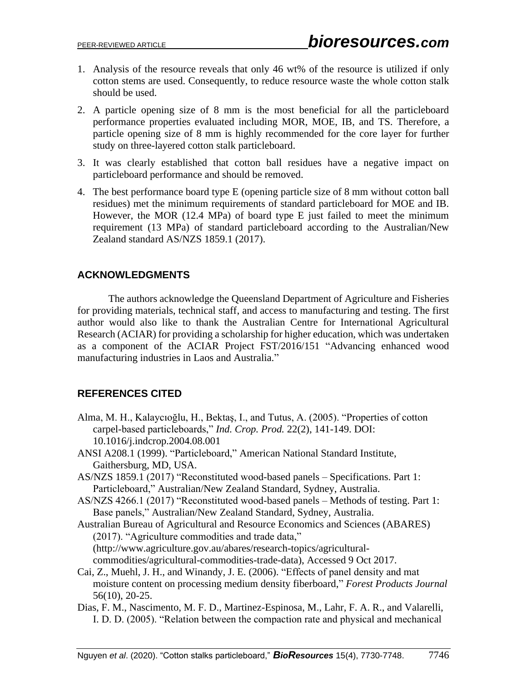- 1. Analysis of the resource reveals that only 46 wt% of the resource is utilized if only cotton stems are used. Consequently, to reduce resource waste the whole cotton stalk should be used.
- 2. A particle opening size of 8 mm is the most beneficial for all the particleboard performance properties evaluated including MOR, MOE, IB, and TS. Therefore, a particle opening size of 8 mm is highly recommended for the core layer for further study on three-layered cotton stalk particleboard.
- 3. It was clearly established that cotton ball residues have a negative impact on particleboard performance and should be removed.
- 4. The best performance board type E (opening particle size of 8 mm without cotton ball residues) met the minimum requirements of standard particleboard for MOE and IB. However, the MOR (12.4 MPa) of board type E just failed to meet the minimum requirement (13 MPa) of standard particleboard according to the Australian/New Zealand standard AS/NZS 1859.1 (2017).

# **ACKNOWLEDGMENTS**

The authors acknowledge the Queensland Department of Agriculture and Fisheries for providing materials, technical staff, and access to manufacturing and testing. The first author would also like to thank the Australian Centre for International Agricultural Research (ACIAR) for providing a scholarship for higher education, which was undertaken as a component of the ACIAR Project FST/2016/151 "Advancing enhanced wood manufacturing industries in Laos and Australia."

# **REFERENCES CITED**

- Alma, M. H., Kalaycıoğlu, H., Bektaş, I., and Tutus, A. (2005). "Properties of cotton carpel-based particleboards," *Ind. Crop. Prod.* 22(2), 141-149. DOI: 10.1016/j.indcrop.2004.08.001
- ANSI A208.1 (1999). "Particleboard," American National Standard Institute, Gaithersburg, MD, USA.
- AS/NZS 1859.1 (2017) "Reconstituted wood-based panels Specifications. Part 1: Particleboard," Australian/New Zealand Standard, Sydney, Australia.
- AS/NZS 4266.1 (2017) "Reconstituted wood-based panels Methods of testing. Part 1: Base panels," Australian/New Zealand Standard, Sydney, Australia.
- Australian Bureau of Agricultural and Resource Economics and Sciences (ABARES) (2017). "Agriculture commodities and trade data," (http://www.agriculture.gov.au/abares/research-topics/agriculturalcommodities/agricultural-commodities-trade-data), Accessed 9 Oct 2017.
- Cai, Z., Muehl, J. H., and Winandy, J. E. (2006). "Effects of panel density and mat moisture content on processing medium density fiberboard," *Forest Products Journal* 56(10), 20-25.
- Dias, F. M., Nascimento, M. F. D., Martinez-Espinosa, M., Lahr, F. A. R., and Valarelli, I. D. D. (2005). "Relation between the compaction rate and physical and mechanical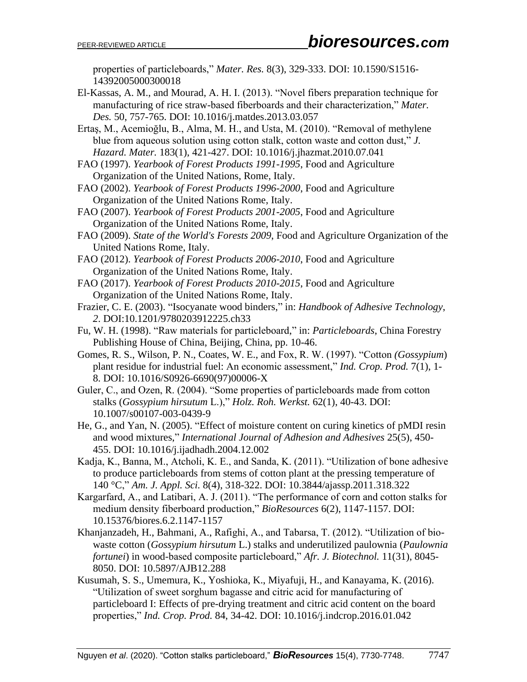properties of particleboards," *Mater. Res.* 8(3), 329-333. DOI: 10.1590/S1516- 14392005000300018

El-Kassas, A. M., and Mourad, A. H. I. (2013). "Novel fibers preparation technique for manufacturing of rice straw-based fiberboards and their characterization," *Mater. Des.* 50, 757-765. DOI: 10.1016/j.matdes.2013.03.057

Ertaş, M., Acemioğlu, B., Alma, M. H., and Usta, M. (2010). "Removal of methylene blue from aqueous solution using cotton stalk, cotton waste and cotton dust," *J. Hazard. Mater.* 183(1), 421-427. DOI: 10.1016/j.jhazmat.2010.07.041

- FAO (1997). *Yearbook of Forest Products 1991-1995*, Food and Agriculture Organization of the United Nations, Rome, Italy.
- FAO (2002). *Yearbook of Forest Products 1996-2000*, Food and Agriculture Organization of the United Nations Rome, Italy.
- FAO (2007). *Yearbook of Forest Products 2001-2005*, Food and Agriculture Organization of the United Nations Rome, Italy.
- FAO (2009). *State of the World's Forests 2009*, Food and Agriculture Organization of the United Nations Rome, Italy.
- FAO (2012). *Yearbook of Forest Products 2006-2010*, Food and Agriculture Organization of the United Nations Rome, Italy.
- FAO (2017). *Yearbook of Forest Products 2010-2015*, Food and Agriculture Organization of the United Nations Rome, Italy.
- Frazier, C. E. (2003). "Isocyanate wood binders," in: *Handbook of Adhesive Technology*, *2*. DOI:10.1201/9780203912225.ch33
- Fu, W. H. (1998). "Raw materials for particleboard," in: *Particleboards*, China Forestry Publishing House of China, Beijing, China, pp. 10-46.
- Gomes, R. S., Wilson, P. N., Coates, W. E., and Fox, R. W. (1997). "Cotton *(Gossypium*) plant residue for industrial fuel: An economic assessment," *Ind. Crop. Prod.* 7(1), 1- 8. DOI: 10.1016/S0926-6690(97)00006-X
- Guler, C., and Ozen, R. (2004). "Some properties of particleboards made from cotton stalks (*Gossypium hirsutum* L.)," *Holz. Roh. Werkst.* 62(1), 40-43. DOI: 10.1007/s00107-003-0439-9
- He, G., and Yan, N. (2005). "Effect of moisture content on curing kinetics of pMDI resin and wood mixtures," *International Journal of Adhesion and Adhesives* 25(5), 450- 455. DOI: 10.1016/j.ijadhadh.2004.12.002
- Kadja, K., Banna, M., Atcholi, K. E., and Sanda, K. (2011). "Utilization of bone adhesive to produce particleboards from stems of cotton plant at the pressing temperature of 140 °C," *Am. J. Appl. Sci.* 8(4), 318-322. DOI: 10.3844/ajassp.2011.318.322
- Kargarfard, A., and Latibari, A. J. (2011). "The performance of corn and cotton stalks for medium density fiberboard production," *BioResources* 6(2), 1147-1157. DOI: 10.15376/biores.6.2.1147-1157
- Khanjanzadeh, H., Bahmani, A., Rafighi, A., and Tabarsa, T. (2012). "Utilization of biowaste cotton (*Gossypium hirsutum* L.) stalks and underutilized paulownia (*Paulownia fortunei*) in wood-based composite particleboard," *Afr. J. Biotechnol.* 11(31), 8045- 8050. DOI: 10.5897/AJB12.288
- Kusumah, S. S., Umemura, K., Yoshioka, K., Miyafuji, H., and Kanayama, K. (2016). "Utilization of sweet sorghum bagasse and citric acid for manufacturing of particleboard I: Effects of pre-drying treatment and citric acid content on the board properties," *Ind. Crop. Prod.* 84, 34-42. DOI: 10.1016/j.indcrop.2016.01.042